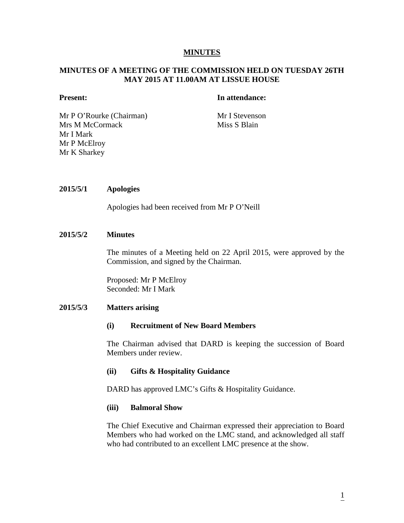## **MINUTES**

## **MINUTES OF A MEETING OF THE COMMISSION HELD ON TUESDAY 26TH MAY 2015 AT 11.00AM AT LISSUE HOUSE**

## **Present: In attendance:**

Mr P O'Rourke (Chairman) Mr I Stevenson Mrs M McCormack Miss S Blain Mr I Mark Mr P McElroy Mr K Sharkey

#### **2015/5/1 Apologies**

Apologies had been received from Mr P O'Neill

## **2015/5/2 Minutes**

The minutes of a Meeting held on 22 April 2015, were approved by the Commission, and signed by the Chairman.

Proposed: Mr P McElroy Seconded: Mr I Mark

#### **2015/5/3 Matters arising**

#### **(i) Recruitment of New Board Members**

The Chairman advised that DARD is keeping the succession of Board Members under review.

#### **(ii) Gifts & Hospitality Guidance**

DARD has approved LMC's Gifts & Hospitality Guidance.

#### **(iii) Balmoral Show**

The Chief Executive and Chairman expressed their appreciation to Board Members who had worked on the LMC stand, and acknowledged all staff who had contributed to an excellent LMC presence at the show.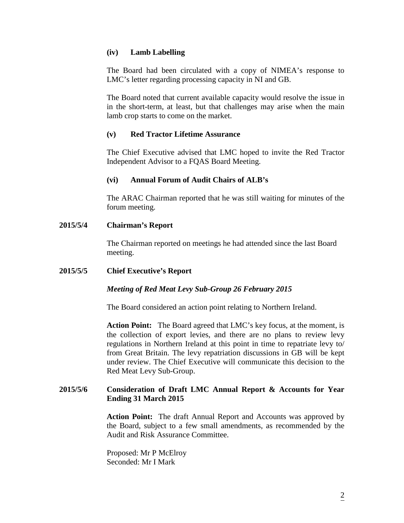## **(iv) Lamb Labelling**

The Board had been circulated with a copy of NIMEA's response to LMC's letter regarding processing capacity in NI and GB.

The Board noted that current available capacity would resolve the issue in in the short-term, at least, but that challenges may arise when the main lamb crop starts to come on the market.

## **(v) Red Tractor Lifetime Assurance**

The Chief Executive advised that LMC hoped to invite the Red Tractor Independent Advisor to a FQAS Board Meeting.

# **(vi) Annual Forum of Audit Chairs of ALB's**

The ARAC Chairman reported that he was still waiting for minutes of the forum meeting.

# **2015/5/4 Chairman's Report**

The Chairman reported on meetings he had attended since the last Board meeting.

## **2015/5/5 Chief Executive's Report**

# *Meeting of Red Meat Levy Sub-Group 26 February 2015*

The Board considered an action point relating to Northern Ireland.

**Action Point:** The Board agreed that LMC's key focus, at the moment, is the collection of export levies, and there are no plans to review levy regulations in Northern Ireland at this point in time to repatriate levy to/ from Great Britain. The levy repatriation discussions in GB will be kept under review. The Chief Executive will communicate this decision to the Red Meat Levy Sub-Group.

# **2015/5/6 Consideration of Draft LMC Annual Report & Accounts for Year Ending 31 March 2015**

**Action Point:** The draft Annual Report and Accounts was approved by the Board, subject to a few small amendments, as recommended by the Audit and Risk Assurance Committee.

Proposed: Mr P McElroy Seconded: Mr I Mark